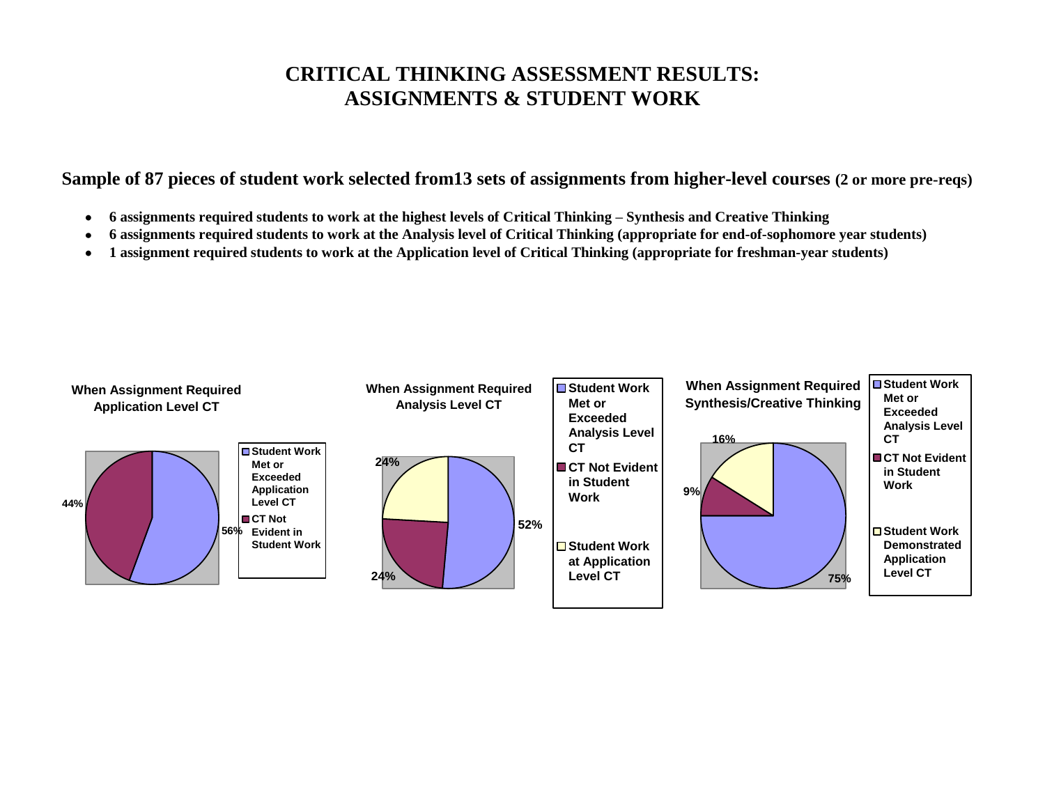## **CRITICAL THINKING ASSESSMENT RESULTS: ASSIGNMENTS & STUDENT WORK**

## **Sample of 87 pieces of student work selected from13 sets of assignments from higher-level courses (2 or more pre-reqs)**

- **6 assignments required students to work at the highest levels of Critical Thinking – Synthesis and Creative Thinking**
- **6 assignments required students to work at the Analysis level of Critical Thinking (appropriate for end-of-sophomore year students)**
- **1 assignment required students to work at the Application level of Critical Thinking (appropriate for freshman-year students)**